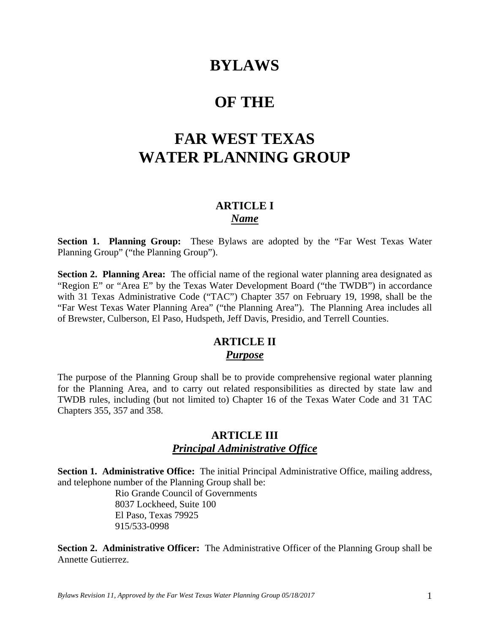# **BYLAWS**

# **OF THE**

# **FAR WEST TEXAS WATER PLANNING GROUP**

## **ARTICLE I**  *Name*

**Section 1. Planning Group:** These Bylaws are adopted by the "Far West Texas Water Planning Group" ("the Planning Group").

**Section 2. Planning Area:** The official name of the regional water planning area designated as "Region E" or "Area E" by the Texas Water Development Board ("the TWDB") in accordance with 31 Texas Administrative Code ("TAC") Chapter 357 on February 19, 1998, shall be the "Far West Texas Water Planning Area" ("the Planning Area"). The Planning Area includes all of Brewster, Culberson, El Paso, Hudspeth, Jeff Davis, Presidio, and Terrell Counties.

# **ARTICLE II**  *Purpose*

The purpose of the Planning Group shall be to provide comprehensive regional water planning for the Planning Area, and to carry out related responsibilities as directed by state law and TWDB rules, including (but not limited to) Chapter 16 of the Texas Water Code and 31 TAC Chapters 355, 357 and 358.

## **ARTICLE III** *Principal Administrative Office*

**Section 1. Administrative Office:** The initial Principal Administrative Office, mailing address, and telephone number of the Planning Group shall be:

> Rio Grande Council of Governments 8037 Lockheed, Suite 100 El Paso, Texas 79925 915/533-0998

**Section 2. Administrative Officer:** The Administrative Officer of the Planning Group shall be Annette Gutierrez.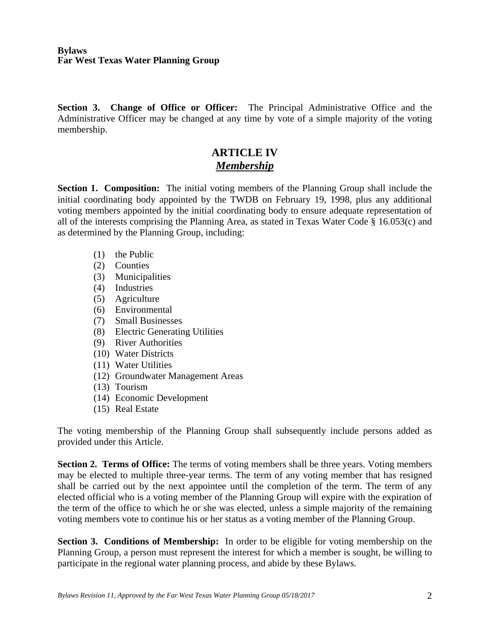**Section 3. Change of Office or Officer:** The Principal Administrative Office and the Administrative Officer may be changed at any time by vote of a simple majority of the voting membership.

# **ARTICLE IV** *Membership*

**Section 1. Composition:** The initial voting members of the Planning Group shall include the initial coordinating body appointed by the TWDB on February 19, 1998, plus any additional voting members appointed by the initial coordinating body to ensure adequate representation of all of the interests comprising the Planning Area, as stated in Texas Water Code § 16.053(c) and as determined by the Planning Group, including:

- (1) the Public
- (2) Counties
- (3) Municipalities
- (4) Industries
- (5) Agriculture
- (6) Environmental
- (7) Small Businesses
- (8) Electric Generating Utilities
- (9) River Authorities
- (10) Water Districts
- (11) Water Utilities
- (12) Groundwater Management Areas
- (13) Tourism
- (14) Economic Development
- (15) Real Estate

The voting membership of the Planning Group shall subsequently include persons added as provided under this Article.

**Section 2. Terms of Office:** The terms of voting members shall be three years. Voting members may be elected to multiple three-year terms. The term of any voting member that has resigned shall be carried out by the next appointee until the completion of the term. The term of any elected official who is a voting member of the Planning Group will expire with the expiration of the term of the office to which he or she was elected, unless a simple majority of the remaining voting members vote to continue his or her status as a voting member of the Planning Group.

**Section 3. Conditions of Membership:** In order to be eligible for voting membership on the Planning Group, a person must represent the interest for which a member is sought, be willing to participate in the regional water planning process, and abide by these Bylaws.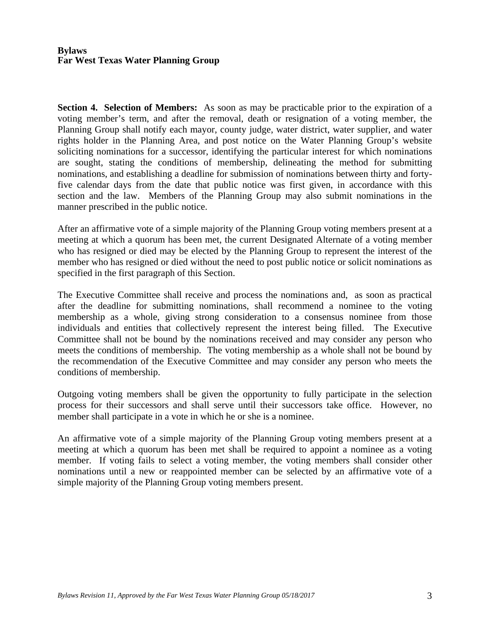**Section 4. Selection of Members:** As soon as may be practicable prior to the expiration of a voting member's term, and after the removal, death or resignation of a voting member, the Planning Group shall notify each mayor, county judge, water district, water supplier, and water rights holder in the Planning Area, and post notice on the Water Planning Group's website soliciting nominations for a successor, identifying the particular interest for which nominations are sought, stating the conditions of membership, delineating the method for submitting nominations, and establishing a deadline for submission of nominations between thirty and fortyfive calendar days from the date that public notice was first given, in accordance with this section and the law. Members of the Planning Group may also submit nominations in the manner prescribed in the public notice.

After an affirmative vote of a simple majority of the Planning Group voting members present at a meeting at which a quorum has been met, the current Designated Alternate of a voting member who has resigned or died may be elected by the Planning Group to represent the interest of the member who has resigned or died without the need to post public notice or solicit nominations as specified in the first paragraph of this Section.

The Executive Committee shall receive and process the nominations and, as soon as practical after the deadline for submitting nominations, shall recommend a nominee to the voting membership as a whole, giving strong consideration to a consensus nominee from those individuals and entities that collectively represent the interest being filled. The Executive Committee shall not be bound by the nominations received and may consider any person who meets the conditions of membership. The voting membership as a whole shall not be bound by the recommendation of the Executive Committee and may consider any person who meets the conditions of membership.

Outgoing voting members shall be given the opportunity to fully participate in the selection process for their successors and shall serve until their successors take office. However, no member shall participate in a vote in which he or she is a nominee.

An affirmative vote of a simple majority of the Planning Group voting members present at a meeting at which a quorum has been met shall be required to appoint a nominee as a voting member. If voting fails to select a voting member, the voting members shall consider other nominations until a new or reappointed member can be selected by an affirmative vote of a simple majority of the Planning Group voting members present.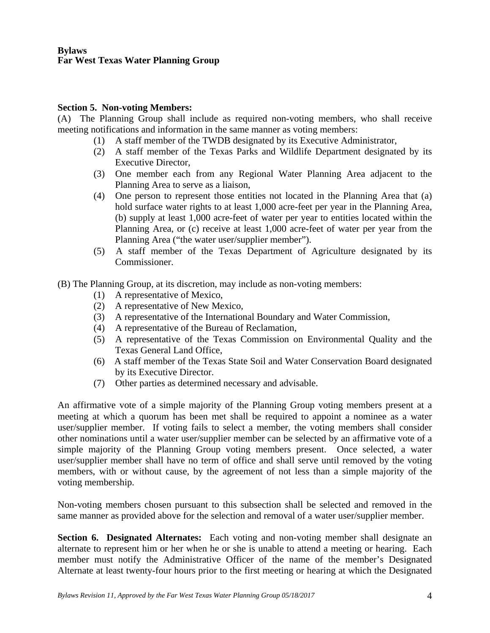### **Section 5. Non-voting Members:**

(A) The Planning Group shall include as required non-voting members, who shall receive meeting notifications and information in the same manner as voting members:

- (1) A staff member of the TWDB designated by its Executive Administrator,
- (2) A staff member of the Texas Parks and Wildlife Department designated by its Executive Director,
- (3) One member each from any Regional Water Planning Area adjacent to the Planning Area to serve as a liaison,
- (4) One person to represent those entities not located in the Planning Area that (a) hold surface water rights to at least 1,000 acre-feet per year in the Planning Area, (b) supply at least 1,000 acre-feet of water per year to entities located within the Planning Area, or (c) receive at least 1,000 acre-feet of water per year from the Planning Area ("the water user/supplier member").
- (5) A staff member of the Texas Department of Agriculture designated by its Commissioner.

(B) The Planning Group, at its discretion, may include as non-voting members:

- (1) A representative of Mexico,
- (2) A representative of New Mexico,
- (3) A representative of the International Boundary and Water Commission,
- (4) A representative of the Bureau of Reclamation,
- (5) A representative of the Texas Commission on Environmental Quality and the Texas General Land Office,
- (6) A staff member of the Texas State Soil and Water Conservation Board designated by its Executive Director.
- (7) Other parties as determined necessary and advisable.

An affirmative vote of a simple majority of the Planning Group voting members present at a meeting at which a quorum has been met shall be required to appoint a nominee as a water user/supplier member. If voting fails to select a member, the voting members shall consider other nominations until a water user/supplier member can be selected by an affirmative vote of a simple majority of the Planning Group voting members present. Once selected, a water user/supplier member shall have no term of office and shall serve until removed by the voting members, with or without cause, by the agreement of not less than a simple majority of the voting membership.

Non-voting members chosen pursuant to this subsection shall be selected and removed in the same manner as provided above for the selection and removal of a water user/supplier member.

**Section 6. Designated Alternates:** Each voting and non-voting member shall designate an alternate to represent him or her when he or she is unable to attend a meeting or hearing. Each member must notify the Administrative Officer of the name of the member's Designated Alternate at least twenty-four hours prior to the first meeting or hearing at which the Designated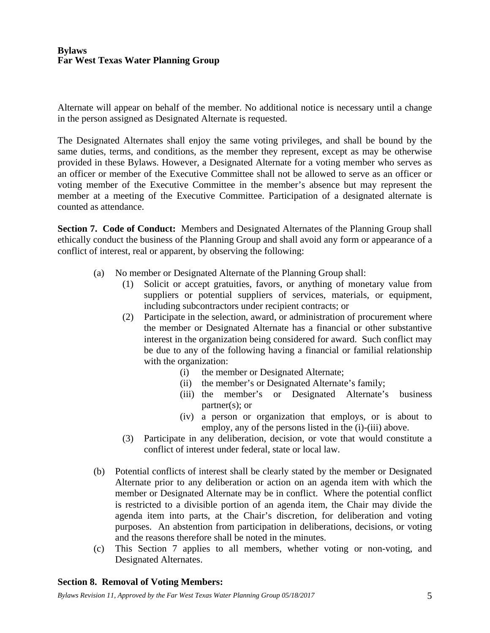Alternate will appear on behalf of the member. No additional notice is necessary until a change in the person assigned as Designated Alternate is requested.

The Designated Alternates shall enjoy the same voting privileges, and shall be bound by the same duties, terms, and conditions, as the member they represent, except as may be otherwise provided in these Bylaws. However, a Designated Alternate for a voting member who serves as an officer or member of the Executive Committee shall not be allowed to serve as an officer or voting member of the Executive Committee in the member's absence but may represent the member at a meeting of the Executive Committee. Participation of a designated alternate is counted as attendance.

**Section 7. Code of Conduct:** Members and Designated Alternates of the Planning Group shall ethically conduct the business of the Planning Group and shall avoid any form or appearance of a conflict of interest, real or apparent, by observing the following:

- (a) No member or Designated Alternate of the Planning Group shall:
	- (1) Solicit or accept gratuities, favors, or anything of monetary value from suppliers or potential suppliers of services, materials, or equipment, including subcontractors under recipient contracts; or
	- (2) Participate in the selection, award, or administration of procurement where the member or Designated Alternate has a financial or other substantive interest in the organization being considered for award. Such conflict may be due to any of the following having a financial or familial relationship with the organization:
		- (i) the member or Designated Alternate;
		- (ii) the member's or Designated Alternate's family;
		- (iii) the member's or Designated Alternate's business partner(s); or
		- (iv) a person or organization that employs, or is about to employ, any of the persons listed in the (i)-(iii) above.
	- (3) Participate in any deliberation, decision, or vote that would constitute a conflict of interest under federal, state or local law.
- (b) Potential conflicts of interest shall be clearly stated by the member or Designated Alternate prior to any deliberation or action on an agenda item with which the member or Designated Alternate may be in conflict. Where the potential conflict is restricted to a divisible portion of an agenda item, the Chair may divide the agenda item into parts, at the Chair's discretion, for deliberation and voting purposes. An abstention from participation in deliberations, decisions, or voting and the reasons therefore shall be noted in the minutes.
- (c) This Section 7 applies to all members, whether voting or non-voting, and Designated Alternates.

### **Section 8. Removal of Voting Members:**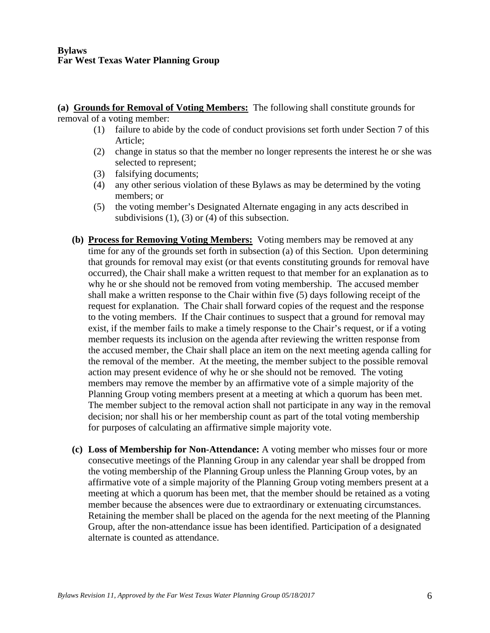**(a) Grounds for Removal of Voting Members:** The following shall constitute grounds for removal of a voting member:

- (1) failure to abide by the code of conduct provisions set forth under Section 7 of this Article;
- (2) change in status so that the member no longer represents the interest he or she was selected to represent;
- (3) falsifying documents;
- (4) any other serious violation of these Bylaws as may be determined by the voting members; or
- (5) the voting member's Designated Alternate engaging in any acts described in subdivisions  $(1)$ ,  $(3)$  or  $(4)$  of this subsection.
- **(b) Process for Removing Voting Members:** Voting members may be removed at any time for any of the grounds set forth in subsection (a) of this Section. Upon determining that grounds for removal may exist (or that events constituting grounds for removal have occurred), the Chair shall make a written request to that member for an explanation as to why he or she should not be removed from voting membership. The accused member shall make a written response to the Chair within five (5) days following receipt of the request for explanation. The Chair shall forward copies of the request and the response to the voting members. If the Chair continues to suspect that a ground for removal may exist, if the member fails to make a timely response to the Chair's request, or if a voting member requests its inclusion on the agenda after reviewing the written response from the accused member, the Chair shall place an item on the next meeting agenda calling for the removal of the member. At the meeting, the member subject to the possible removal action may present evidence of why he or she should not be removed. The voting members may remove the member by an affirmative vote of a simple majority of the Planning Group voting members present at a meeting at which a quorum has been met. The member subject to the removal action shall not participate in any way in the removal decision; nor shall his or her membership count as part of the total voting membership for purposes of calculating an affirmative simple majority vote.
- **(c) Loss of Membership for Non-Attendance:** A voting member who misses four or more consecutive meetings of the Planning Group in any calendar year shall be dropped from the voting membership of the Planning Group unless the Planning Group votes, by an affirmative vote of a simple majority of the Planning Group voting members present at a meeting at which a quorum has been met, that the member should be retained as a voting member because the absences were due to extraordinary or extenuating circumstances. Retaining the member shall be placed on the agenda for the next meeting of the Planning Group, after the non-attendance issue has been identified. Participation of a designated alternate is counted as attendance.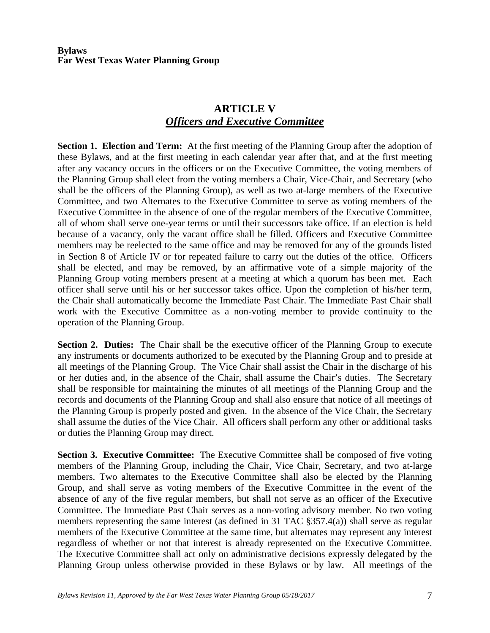# **ARTICLE V** *Officers and Executive Committee*

**Section 1. Election and Term:** At the first meeting of the Planning Group after the adoption of these Bylaws, and at the first meeting in each calendar year after that, and at the first meeting after any vacancy occurs in the officers or on the Executive Committee, the voting members of the Planning Group shall elect from the voting members a Chair, Vice-Chair, and Secretary (who shall be the officers of the Planning Group), as well as two at-large members of the Executive Committee, and two Alternates to the Executive Committee to serve as voting members of the Executive Committee in the absence of one of the regular members of the Executive Committee, all of whom shall serve one-year terms or until their successors take office. If an election is held because of a vacancy, only the vacant office shall be filled. Officers and Executive Committee members may be reelected to the same office and may be removed for any of the grounds listed in Section 8 of Article IV or for repeated failure to carry out the duties of the office. Officers shall be elected, and may be removed, by an affirmative vote of a simple majority of the Planning Group voting members present at a meeting at which a quorum has been met. Each officer shall serve until his or her successor takes office. Upon the completion of his/her term, the Chair shall automatically become the Immediate Past Chair. The Immediate Past Chair shall work with the Executive Committee as a non-voting member to provide continuity to the operation of the Planning Group.

**Section 2. Duties:** The Chair shall be the executive officer of the Planning Group to execute any instruments or documents authorized to be executed by the Planning Group and to preside at all meetings of the Planning Group. The Vice Chair shall assist the Chair in the discharge of his or her duties and, in the absence of the Chair, shall assume the Chair's duties. The Secretary shall be responsible for maintaining the minutes of all meetings of the Planning Group and the records and documents of the Planning Group and shall also ensure that notice of all meetings of the Planning Group is properly posted and given. In the absence of the Vice Chair, the Secretary shall assume the duties of the Vice Chair. All officers shall perform any other or additional tasks or duties the Planning Group may direct.

**Section 3. Executive Committee:** The Executive Committee shall be composed of five voting members of the Planning Group, including the Chair, Vice Chair, Secretary, and two at-large members. Two alternates to the Executive Committee shall also be elected by the Planning Group, and shall serve as voting members of the Executive Committee in the event of the absence of any of the five regular members, but shall not serve as an officer of the Executive Committee. The Immediate Past Chair serves as a non-voting advisory member. No two voting members representing the same interest (as defined in 31 TAC §357.4(a)) shall serve as regular members of the Executive Committee at the same time, but alternates may represent any interest regardless of whether or not that interest is already represented on the Executive Committee. The Executive Committee shall act only on administrative decisions expressly delegated by the Planning Group unless otherwise provided in these Bylaws or by law. All meetings of the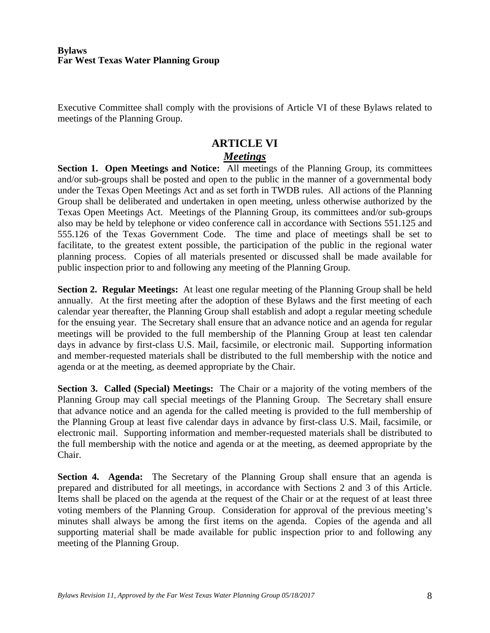Executive Committee shall comply with the provisions of Article VI of these Bylaws related to meetings of the Planning Group.

## **ARTICLE VI** *Meetings*

**Section 1. Open Meetings and Notice:** All meetings of the Planning Group, its committees and/or sub-groups shall be posted and open to the public in the manner of a governmental body under the Texas Open Meetings Act and as set forth in TWDB rules. All actions of the Planning Group shall be deliberated and undertaken in open meeting, unless otherwise authorized by the Texas Open Meetings Act. Meetings of the Planning Group, its committees and/or sub-groups also may be held by telephone or video conference call in accordance with Sections 551.125 and 555.126 of the Texas Government Code. The time and place of meetings shall be set to facilitate, to the greatest extent possible, the participation of the public in the regional water planning process. Copies of all materials presented or discussed shall be made available for public inspection prior to and following any meeting of the Planning Group.

**Section 2. Regular Meetings:** At least one regular meeting of the Planning Group shall be held annually. At the first meeting after the adoption of these Bylaws and the first meeting of each calendar year thereafter, the Planning Group shall establish and adopt a regular meeting schedule for the ensuing year. The Secretary shall ensure that an advance notice and an agenda for regular meetings will be provided to the full membership of the Planning Group at least ten calendar days in advance by first-class U.S. Mail, facsimile, or electronic mail. Supporting information and member-requested materials shall be distributed to the full membership with the notice and agenda or at the meeting, as deemed appropriate by the Chair.

**Section 3. Called (Special) Meetings:** The Chair or a majority of the voting members of the Planning Group may call special meetings of the Planning Group. The Secretary shall ensure that advance notice and an agenda for the called meeting is provided to the full membership of the Planning Group at least five calendar days in advance by first-class U.S. Mail, facsimile, or electronic mail. Supporting information and member-requested materials shall be distributed to the full membership with the notice and agenda or at the meeting, as deemed appropriate by the Chair.

**Section 4. Agenda:** The Secretary of the Planning Group shall ensure that an agenda is prepared and distributed for all meetings, in accordance with Sections 2 and 3 of this Article. Items shall be placed on the agenda at the request of the Chair or at the request of at least three voting members of the Planning Group. Consideration for approval of the previous meeting's minutes shall always be among the first items on the agenda. Copies of the agenda and all supporting material shall be made available for public inspection prior to and following any meeting of the Planning Group.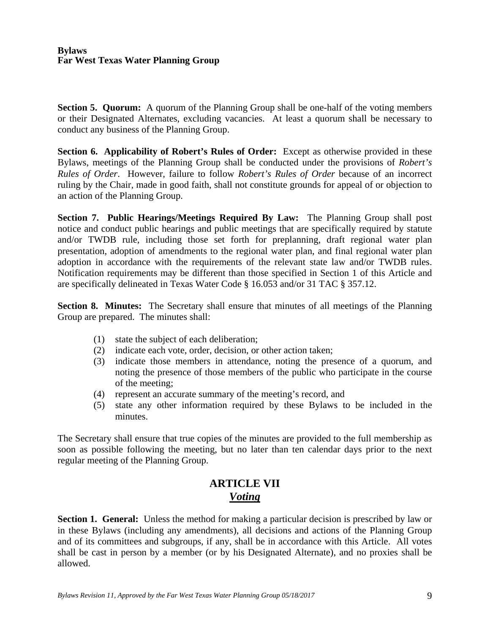**Section 5. Quorum:** A quorum of the Planning Group shall be one-half of the voting members or their Designated Alternates, excluding vacancies. At least a quorum shall be necessary to conduct any business of the Planning Group.

**Section 6. Applicability of Robert's Rules of Order:** Except as otherwise provided in these Bylaws, meetings of the Planning Group shall be conducted under the provisions of *Robert's Rules of Order*. However, failure to follow *Robert's Rules of Order* because of an incorrect ruling by the Chair, made in good faith, shall not constitute grounds for appeal of or objection to an action of the Planning Group.

**Section 7. Public Hearings/Meetings Required By Law:** The Planning Group shall post notice and conduct public hearings and public meetings that are specifically required by statute and/or TWDB rule, including those set forth for preplanning, draft regional water plan presentation, adoption of amendments to the regional water plan, and final regional water plan adoption in accordance with the requirements of the relevant state law and/or TWDB rules. Notification requirements may be different than those specified in Section 1 of this Article and are specifically delineated in Texas Water Code § 16.053 and/or 31 TAC § 357.12.

**Section 8. Minutes:** The Secretary shall ensure that minutes of all meetings of the Planning Group are prepared. The minutes shall:

- (1) state the subject of each deliberation;
- (2) indicate each vote, order, decision, or other action taken;
- (3) indicate those members in attendance, noting the presence of a quorum, and noting the presence of those members of the public who participate in the course of the meeting;
- (4) represent an accurate summary of the meeting's record, and
- (5) state any other information required by these Bylaws to be included in the minutes.

The Secretary shall ensure that true copies of the minutes are provided to the full membership as soon as possible following the meeting, but no later than ten calendar days prior to the next regular meeting of the Planning Group.

## **ARTICLE VII**  *Voting*

**Section 1. General:** Unless the method for making a particular decision is prescribed by law or in these Bylaws (including any amendments), all decisions and actions of the Planning Group and of its committees and subgroups, if any, shall be in accordance with this Article. All votes shall be cast in person by a member (or by his Designated Alternate), and no proxies shall be allowed.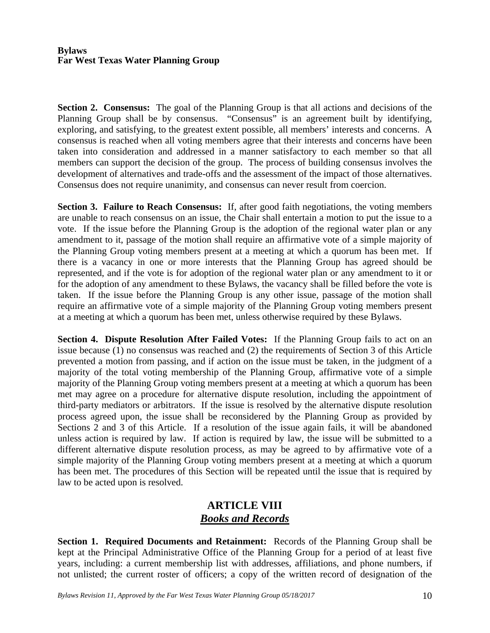**Section 2. Consensus:** The goal of the Planning Group is that all actions and decisions of the Planning Group shall be by consensus. "Consensus" is an agreement built by identifying, exploring, and satisfying, to the greatest extent possible, all members' interests and concerns. A consensus is reached when all voting members agree that their interests and concerns have been taken into consideration and addressed in a manner satisfactory to each member so that all members can support the decision of the group. The process of building consensus involves the development of alternatives and trade-offs and the assessment of the impact of those alternatives. Consensus does not require unanimity, and consensus can never result from coercion.

**Section 3. Failure to Reach Consensus:** If, after good faith negotiations, the voting members are unable to reach consensus on an issue, the Chair shall entertain a motion to put the issue to a vote. If the issue before the Planning Group is the adoption of the regional water plan or any amendment to it, passage of the motion shall require an affirmative vote of a simple majority of the Planning Group voting members present at a meeting at which a quorum has been met. If there is a vacancy in one or more interests that the Planning Group has agreed should be represented, and if the vote is for adoption of the regional water plan or any amendment to it or for the adoption of any amendment to these Bylaws, the vacancy shall be filled before the vote is taken. If the issue before the Planning Group is any other issue, passage of the motion shall require an affirmative vote of a simple majority of the Planning Group voting members present at a meeting at which a quorum has been met, unless otherwise required by these Bylaws.

**Section 4. Dispute Resolution After Failed Votes:** If the Planning Group fails to act on an issue because (1) no consensus was reached and (2) the requirements of Section 3 of this Article prevented a motion from passing, and if action on the issue must be taken, in the judgment of a majority of the total voting membership of the Planning Group, affirmative vote of a simple majority of the Planning Group voting members present at a meeting at which a quorum has been met may agree on a procedure for alternative dispute resolution, including the appointment of third-party mediators or arbitrators. If the issue is resolved by the alternative dispute resolution process agreed upon, the issue shall be reconsidered by the Planning Group as provided by Sections 2 and 3 of this Article. If a resolution of the issue again fails, it will be abandoned unless action is required by law. If action is required by law, the issue will be submitted to a different alternative dispute resolution process, as may be agreed to by affirmative vote of a simple majority of the Planning Group voting members present at a meeting at which a quorum has been met. The procedures of this Section will be repeated until the issue that is required by law to be acted upon is resolved.

## **ARTICLE VIII**  *Books and Records*

**Section 1. Required Documents and Retainment:** Records of the Planning Group shall be kept at the Principal Administrative Office of the Planning Group for a period of at least five years, including: a current membership list with addresses, affiliations, and phone numbers, if not unlisted; the current roster of officers; a copy of the written record of designation of the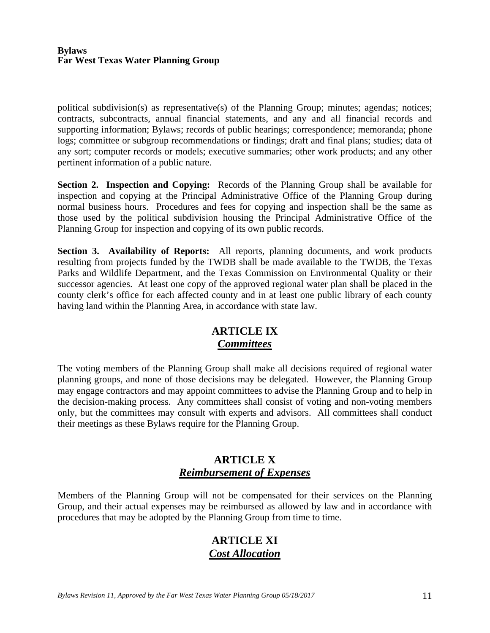political subdivision(s) as representative(s) of the Planning Group; minutes; agendas; notices; contracts, subcontracts, annual financial statements, and any and all financial records and supporting information; Bylaws; records of public hearings; correspondence; memoranda; phone logs; committee or subgroup recommendations or findings; draft and final plans; studies; data of any sort; computer records or models; executive summaries; other work products; and any other pertinent information of a public nature.

**Section 2. Inspection and Copying:** Records of the Planning Group shall be available for inspection and copying at the Principal Administrative Office of the Planning Group during normal business hours. Procedures and fees for copying and inspection shall be the same as those used by the political subdivision housing the Principal Administrative Office of the Planning Group for inspection and copying of its own public records.

**Section 3. Availability of Reports:** All reports, planning documents, and work products resulting from projects funded by the TWDB shall be made available to the TWDB, the Texas Parks and Wildlife Department, and the Texas Commission on Environmental Quality or their successor agencies. At least one copy of the approved regional water plan shall be placed in the county clerk's office for each affected county and in at least one public library of each county having land within the Planning Area, in accordance with state law.

# **ARTICLE IX**  *Committees*

The voting members of the Planning Group shall make all decisions required of regional water planning groups, and none of those decisions may be delegated. However, the Planning Group may engage contractors and may appoint committees to advise the Planning Group and to help in the decision-making process. Any committees shall consist of voting and non-voting members only, but the committees may consult with experts and advisors. All committees shall conduct their meetings as these Bylaws require for the Planning Group.

# **ARTICLE X**  *Reimbursement of Expenses*

Members of the Planning Group will not be compensated for their services on the Planning Group, and their actual expenses may be reimbursed as allowed by law and in accordance with procedures that may be adopted by the Planning Group from time to time.

## **ARTICLE XI**  *Cost Allocation*